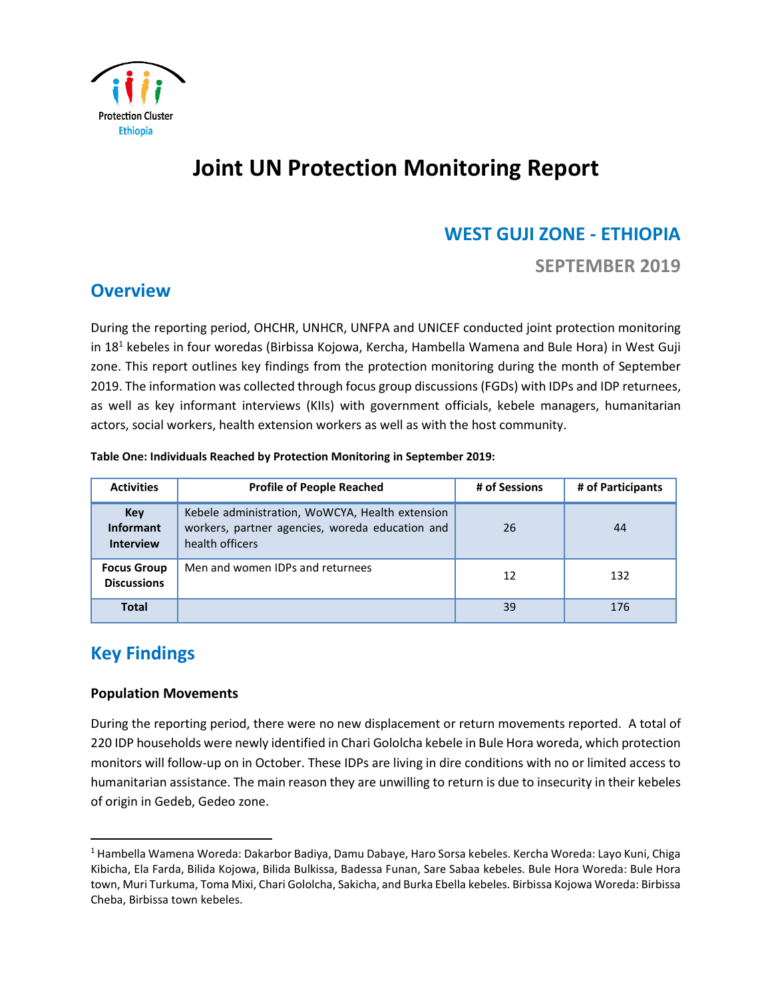

# **Joint UN Protection Monitoring Report**

# **WEST GUJI ZONE - ETHIOPIA**

**SEPTEMBER 2019** 

### **Overview**

During the reporting period, OHCHR, UNHCR, UNFPA and UNICEF conducted joint protection monitoring in 18<sup>1</sup> kebeles in four woredas (Birbissa Kojowa, Kercha, Hambella Wamena and Bule Hora) in West Guji zone. This report outlines key findings from the protection monitoring during the month of September 2019. The information was collected through focus group discussions (FGDs) with IDPs and IDP returnees, as well as key informant interviews (KIIs) with government officials, kebele managers, humanitarian actors, social workers, health extension workers as well as with the host community.

| Table One: Individuals Reached by Protection Monitoring in September 2019: |  |  |  |
|----------------------------------------------------------------------------|--|--|--|
|                                                                            |  |  |  |

| <b>Activities</b>                           | <b>Profile of People Reached</b>                                                                                      | # of Sessions | # of Participants |
|---------------------------------------------|-----------------------------------------------------------------------------------------------------------------------|---------------|-------------------|
| Key<br><b>Informant</b><br><b>Interview</b> | Kebele administration, WoWCYA, Health extension<br>workers, partner agencies, woreda education and<br>health officers | 26            | 44                |
| <b>Focus Group</b><br><b>Discussions</b>    | Men and women IDPs and returnees                                                                                      | 12            | 132               |
| <b>Total</b>                                |                                                                                                                       | 39            | 176               |

## **Key Findings**

l

#### **Population Movements**

During the reporting period, there were no new displacement or return movements reported. A total of 220 IDP households were newly identified in Chari Gololcha kebele in Bule Hora woreda, which protection monitors will follow-up on in October. These IDPs are living in dire conditions with no or limited access to humanitarian assistance. The main reason they are unwilling to return is due to insecurity in their kebeles of origin in Gedeb, Gedeo zone.

<sup>1</sup> Hambella Wamena Woreda: Dakarbor Badiya, Damu Dabaye, Haro Sorsa kebeles. Kercha Woreda: Layo Kuni, Chiga Kibicha, Ela Farda, Bilida Kojowa, Bilida Bulkissa, Badessa Funan, Sare Sabaa kebeles. Bule Hora Woreda: Bule Hora town, Muri Turkuma, Toma Mixi, Chari Gololcha, Sakicha, and Burka Ebella kebeles. Birbissa Kojowa Woreda: Birbissa Cheba, Birbissa town kebeles.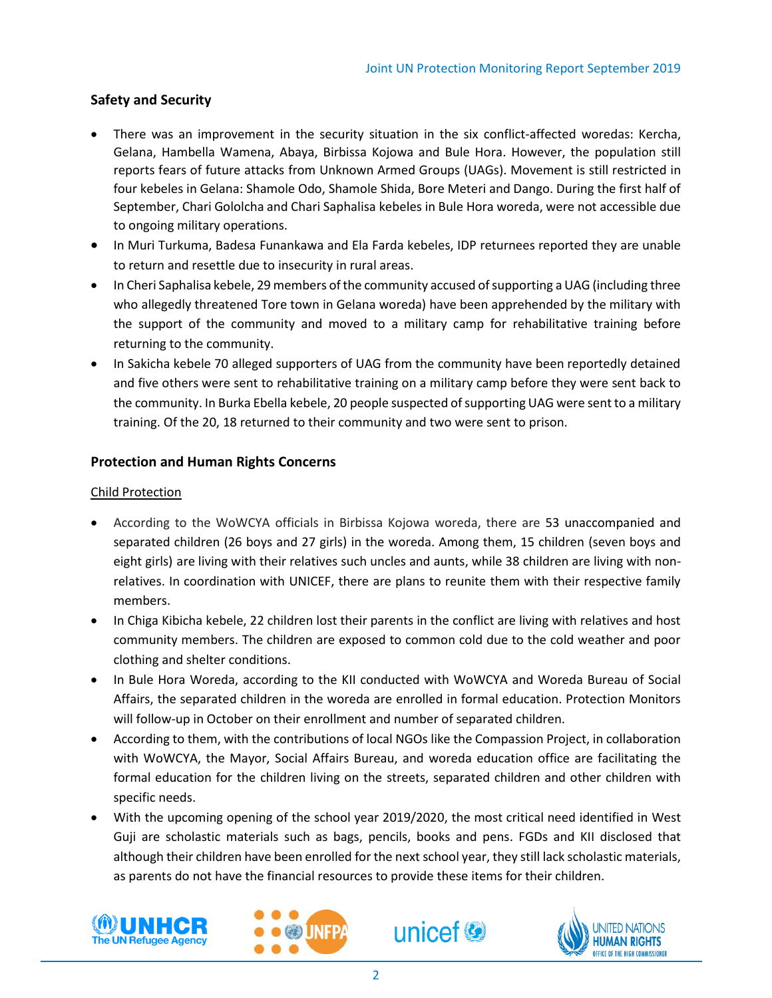#### **Safety and Security**

- There was an improvement in the security situation in the six conflict-affected woredas: Kercha, Gelana, Hambella Wamena, Abaya, Birbissa Kojowa and Bule Hora. However, the population still reports fears of future attacks from Unknown Armed Groups (UAGs). Movement is still restricted in four kebeles in Gelana: Shamole Odo, Shamole Shida, Bore Meteri and Dango. During the first half of September, Chari Gololcha and Chari Saphalisa kebeles in Bule Hora woreda, were not accessible due to ongoing military operations.
- In Muri Turkuma, Badesa Funankawa and Ela Farda kebeles, IDP returnees reported they are unable to return and resettle due to insecurity in rural areas.
- In Cheri Saphalisa kebele, 29 members of the community accused of supporting a UAG (including three who allegedly threatened Tore town in Gelana woreda) have been apprehended by the military with the support of the community and moved to a military camp for rehabilitative training before returning to the community.
- In Sakicha kebele 70 alleged supporters of UAG from the community have been reportedly detained and five others were sent to rehabilitative training on a military camp before they were sent back to the community. In Burka Ebella kebele, 20 people suspected of supporting UAG were sent to a military training. Of the 20, 18 returned to their community and two were sent to prison.

#### **Protection and Human Rights Concerns**

#### Child Protection

- According to the WoWCYA officials in Birbissa Kojowa woreda, there are 53 unaccompanied and separated children (26 boys and 27 girls) in the woreda. Among them, 15 children (seven boys and eight girls) are living with their relatives such uncles and aunts, while 38 children are living with nonrelatives. In coordination with UNICEF, there are plans to reunite them with their respective family members.
- In Chiga Kibicha kebele, 22 children lost their parents in the conflict are living with relatives and host community members. The children are exposed to common cold due to the cold weather and poor clothing and shelter conditions.
- In Bule Hora Woreda, according to the KII conducted with WoWCYA and Woreda Bureau of Social Affairs, the separated children in the woreda are enrolled in formal education. Protection Monitors will follow-up in October on their enrollment and number of separated children.
- According to them, with the contributions of local NGOs like the Compassion Project, in collaboration with WoWCYA, the Mayor, Social Affairs Bureau, and woreda education office are facilitating the formal education for the children living on the streets, separated children and other children with specific needs.
- With the upcoming opening of the school year 2019/2020, the most critical need identified in West Guji are scholastic materials such as bags, pencils, books and pens. FGDs and KII disclosed that although their children have been enrolled for the next school year, they still lack scholastic materials, as parents do not have the financial resources to provide these items for their children.







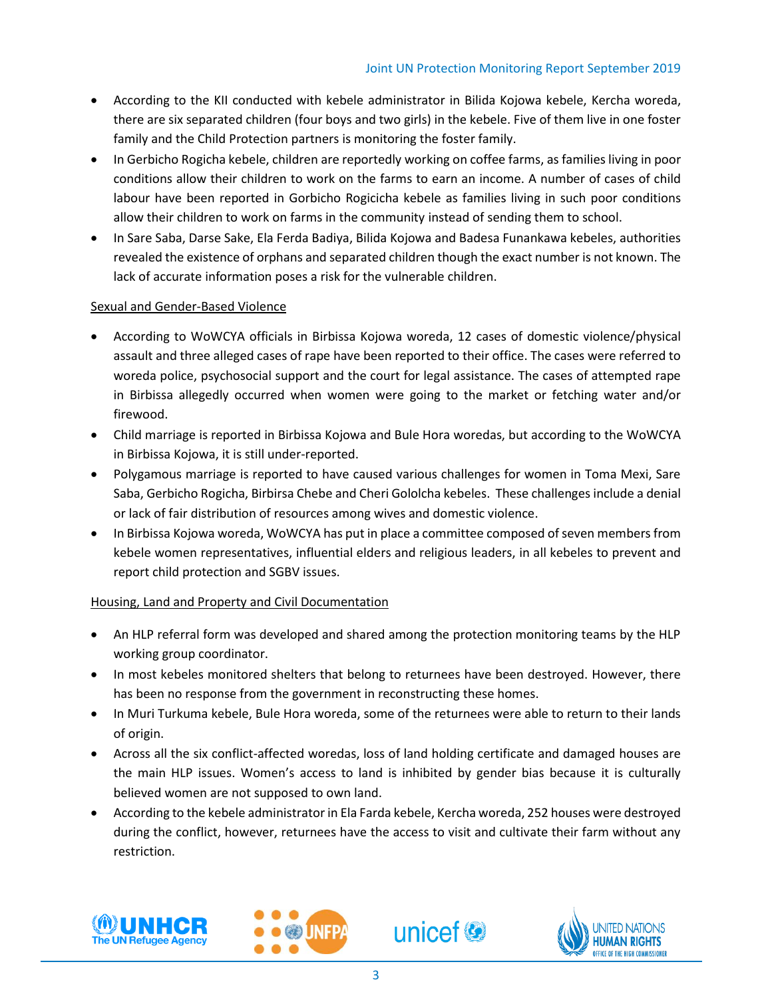- According to the KII conducted with kebele administrator in Bilida Kojowa kebele, Kercha woreda, there are six separated children (four boys and two girls) in the kebele. Five of them live in one foster family and the Child Protection partners is monitoring the foster family.
- In Gerbicho Rogicha kebele, children are reportedly working on coffee farms, as families living in poor conditions allow their children to work on the farms to earn an income. A number of cases of child labour have been reported in Gorbicho Rogicicha kebele as families living in such poor conditions allow their children to work on farms in the community instead of sending them to school.
- In Sare Saba, Darse Sake, Ela Ferda Badiya, Bilida Kojowa and Badesa Funankawa kebeles, authorities revealed the existence of orphans and separated children though the exact number is not known. The lack of accurate information poses a risk for the vulnerable children.

#### Sexual and Gender-Based Violence

- According to WoWCYA officials in Birbissa Kojowa woreda, 12 cases of domestic violence/physical assault and three alleged cases of rape have been reported to their office. The cases were referred to woreda police, psychosocial support and the court for legal assistance. The cases of attempted rape in Birbissa allegedly occurred when women were going to the market or fetching water and/or firewood.
- Child marriage is reported in Birbissa Kojowa and Bule Hora woredas, but according to the WoWCYA in Birbissa Kojowa, it is still under-reported.
- Polygamous marriage is reported to have caused various challenges for women in Toma Mexi, Sare Saba, Gerbicho Rogicha, Birbirsa Chebe and Cheri Gololcha kebeles. These challenges include a denial or lack of fair distribution of resources among wives and domestic violence.
- In Birbissa Kojowa woreda, WoWCYA has put in place a committee composed of seven members from kebele women representatives, influential elders and religious leaders, in all kebeles to prevent and report child protection and SGBV issues.

#### Housing, Land and Property and Civil Documentation

- An HLP referral form was developed and shared among the protection monitoring teams by the HLP working group coordinator.
- In most kebeles monitored shelters that belong to returnees have been destroyed. However, there has been no response from the government in reconstructing these homes.
- In Muri Turkuma kebele, Bule Hora woreda, some of the returnees were able to return to their lands of origin.
- Across all the six conflict-affected woredas, loss of land holding certificate and damaged houses are the main HLP issues. Women's access to land is inhibited by gender bias because it is culturally believed women are not supposed to own land.
- According to the kebele administrator in Ela Farda kebele, Kercha woreda, 252 houses were destroyed during the conflict, however, returnees have the access to visit and cultivate their farm without any restriction.







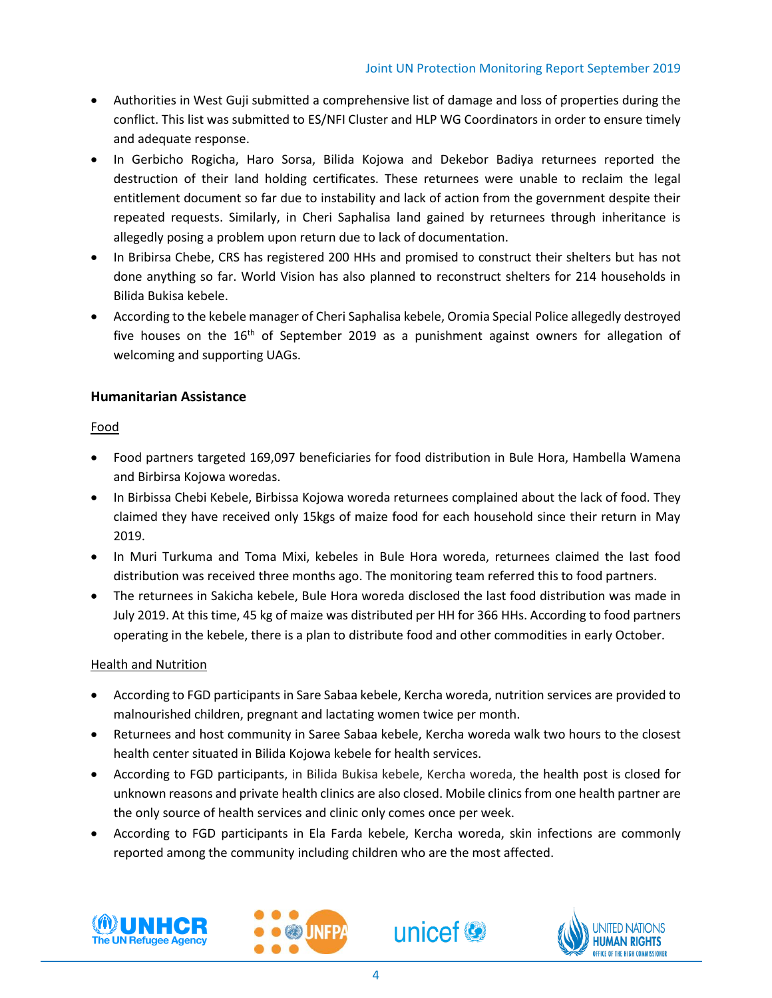- Authorities in West Guji submitted a comprehensive list of damage and loss of properties during the conflict. This list was submitted to ES/NFI Cluster and HLP WG Coordinators in order to ensure timely and adequate response.
- In Gerbicho Rogicha, Haro Sorsa, Bilida Kojowa and Dekebor Badiya returnees reported the destruction of their land holding certificates. These returnees were unable to reclaim the legal entitlement document so far due to instability and lack of action from the government despite their repeated requests. Similarly, in Cheri Saphalisa land gained by returnees through inheritance is allegedly posing a problem upon return due to lack of documentation.
- In Bribirsa Chebe, CRS has registered 200 HHs and promised to construct their shelters but has not done anything so far. World Vision has also planned to reconstruct shelters for 214 households in Bilida Bukisa kebele.
- According to the kebele manager of Cheri Saphalisa kebele, Oromia Special Police allegedly destroyed five houses on the  $16<sup>th</sup>$  of September 2019 as a punishment against owners for allegation of welcoming and supporting UAGs.

#### **Humanitarian Assistance**

#### Food

- Food partners targeted 169,097 beneficiaries for food distribution in Bule Hora, Hambella Wamena and Birbirsa Kojowa woredas.
- In Birbissa Chebi Kebele, Birbissa Kojowa woreda returnees complained about the lack of food. They claimed they have received only 15kgs of maize food for each household since their return in May 2019.
- In Muri Turkuma and Toma Mixi, kebeles in Bule Hora woreda, returnees claimed the last food distribution was received three months ago. The monitoring team referred this to food partners.
- The returnees in Sakicha kebele, Bule Hora woreda disclosed the last food distribution was made in July 2019. At this time, 45 kg of maize was distributed per HH for 366 HHs. According to food partners operating in the kebele, there is a plan to distribute food and other commodities in early October.

#### Health and Nutrition

- According to FGD participants in Sare Sabaa kebele, Kercha woreda, nutrition services are provided to malnourished children, pregnant and lactating women twice per month.
- Returnees and host community in Saree Sabaa kebele, Kercha woreda walk two hours to the closest health center situated in Bilida Kojowa kebele for health services.
- According to FGD participants, in Bilida Bukisa kebele, Kercha woreda, the health post is closed for unknown reasons and private health clinics are also closed. Mobile clinics from one health partner are the only source of health services and clinic only comes once per week.
- According to FGD participants in Ela Farda kebele, Kercha woreda, skin infections are commonly reported among the community including children who are the most affected.







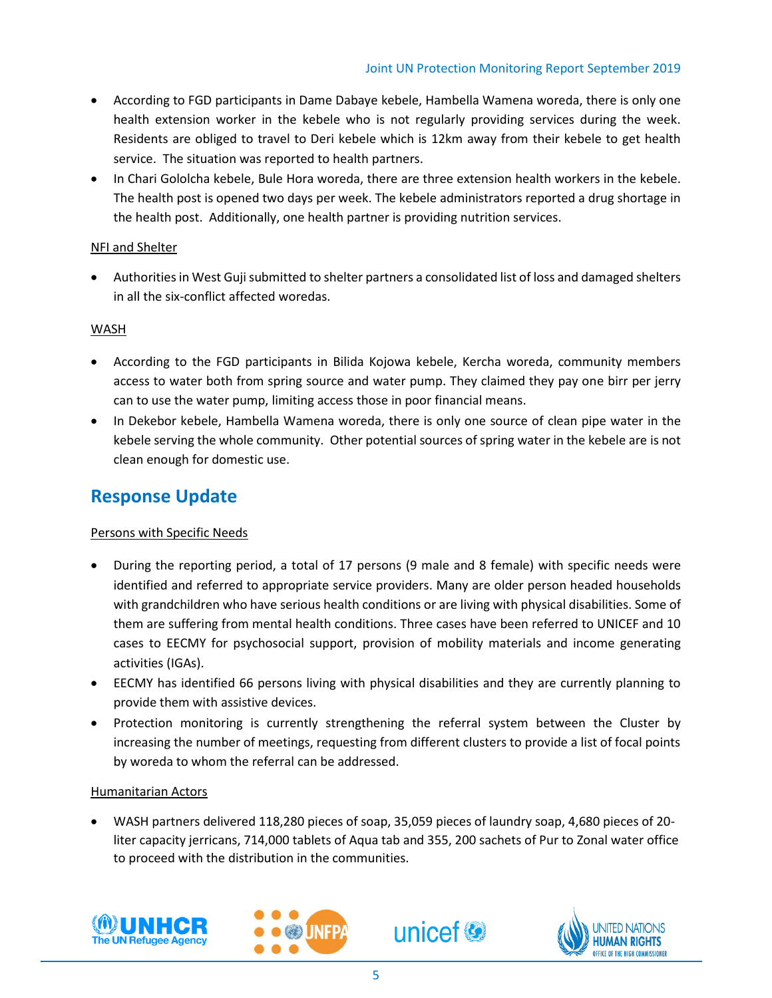- According to FGD participants in Dame Dabaye kebele, Hambella Wamena woreda, there is only one health extension worker in the kebele who is not regularly providing services during the week. Residents are obliged to travel to Deri kebele which is 12km away from their kebele to get health service. The situation was reported to health partners.
- In Chari Gololcha kebele, Bule Hora woreda, there are three extension health workers in the kebele. The health post is opened two days per week. The kebele administrators reported a drug shortage in the health post. Additionally, one health partner is providing nutrition services.

#### NFI and Shelter

• Authorities in West Guji submitted to shelter partners a consolidated list of loss and damaged shelters in all the six-conflict affected woredas.

#### WASH

- According to the FGD participants in Bilida Kojowa kebele, Kercha woreda, community members access to water both from spring source and water pump. They claimed they pay one birr per jerry can to use the water pump, limiting access those in poor financial means.
- In Dekebor kebele, Hambella Wamena woreda, there is only one source of clean pipe water in the kebele serving the whole community. Other potential sources of spring water in the kebele are is not clean enough for domestic use.

### **Response Update**

#### Persons with Specific Needs

- During the reporting period, a total of 17 persons (9 male and 8 female) with specific needs were identified and referred to appropriate service providers. Many are older person headed households with grandchildren who have serious health conditions or are living with physical disabilities. Some of them are suffering from mental health conditions. Three cases have been referred to UNICEF and 10 cases to EECMY for psychosocial support, provision of mobility materials and income generating activities (IGAs).
- EECMY has identified 66 persons living with physical disabilities and they are currently planning to provide them with assistive devices.
- Protection monitoring is currently strengthening the referral system between the Cluster by increasing the number of meetings, requesting from different clusters to provide a list of focal points by woreda to whom the referral can be addressed.

#### Humanitarian Actors

• WASH partners delivered 118,280 pieces of soap, 35,059 pieces of laundry soap, 4,680 pieces of 20 liter capacity jerricans, 714,000 tablets of Aqua tab and 355, 200 sachets of Pur to Zonal water office to proceed with the distribution in the communities.